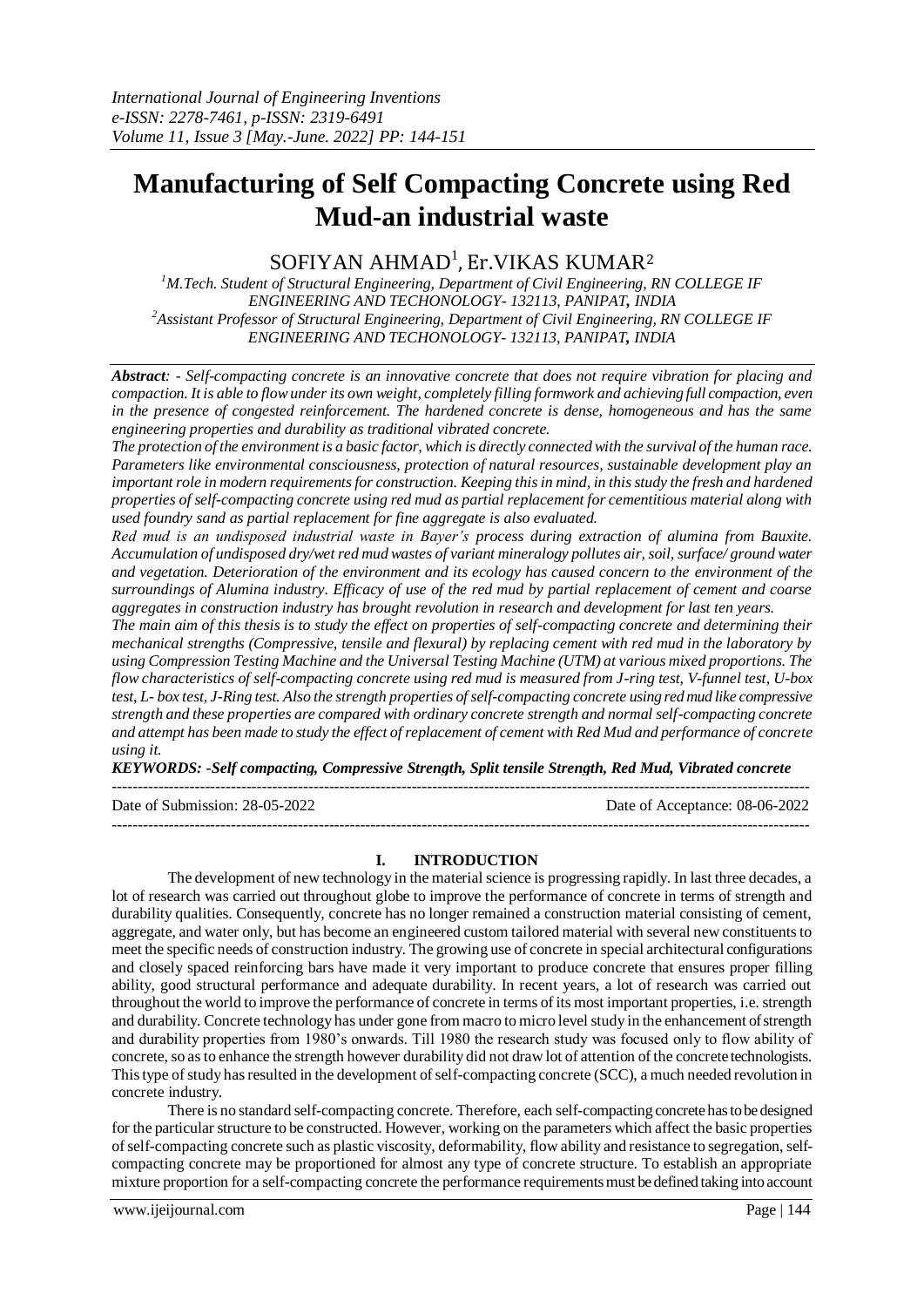# **Manufacturing of Self Compacting Concrete using Red Mud-an industrial waste**

# $\rm SOFIYAN$  AHMAD $^{\rm l}$ , Er.VIKAS KUMAR $^{\rm 2}$

*<sup>1</sup>M.Tech. Student of Structural Engineering, Department of Civil Engineering, RN COLLEGE IF ENGINEERING AND TECHONOLOGY- 132113, PANIPAT, INDIA <sup>2</sup>Assistant Professor of Structural Engineering, Department of Civil Engineering, RN COLLEGE IF ENGINEERING AND TECHONOLOGY- 132113, PANIPAT, INDIA*

*Abstract: - Self-compacting concrete is an innovative concrete that does not require vibration for placing and compaction. It is able to flow under its own weight, completely filling formwork and achieving full compaction, even in the presence of congested reinforcement. The hardened concrete is dense, homogeneous and has the same engineering properties and durability as traditional vibrated concrete.*

*The protection of the environment is a basic factor, which is directly connected with the survival of the human race. Parameters like environmental consciousness, protection of natural resources, sustainable development play an important role in modern requirements for construction. Keeping this in mind, in this study the fresh and hardened properties of self-compacting concrete using red mud as partial replacement for cementitious material along with used foundry sand as partial replacement for fine aggregate is also evaluated.*

*Red mud is an undisposed industrial waste in Bayer's process during extraction of alumina from Bauxite. Accumulation of undisposed dry/wet red mud wastes of variant mineralogy pollutes air, soil, surface/ ground water and vegetation. Deterioration of the environment and its ecology has caused concern to the environment of the surroundings of Alumina industry. Efficacy of use of the red mud by partial replacement of cement and coarse aggregates in construction industry has brought revolution in research and development for last ten years.* 

*The main aim of this thesis is to study the effect on properties of self-compacting concrete and determining their mechanical strengths (Compressive, tensile and flexural) by replacing cement with red mud in the laboratory by using Compression Testing Machine and the Universal Testing Machine (UTM) at various mixed proportions. The flow characteristics of self-compacting concrete using red mud is measured from J-ring test, V-funnel test, U-box test, L- box test, J-Ring test. Also the strength properties of self-compacting concrete using red mud like compressive strength and these properties are compared with ordinary concrete strength and normal self-compacting concrete and attempt has been made to study the effect of replacement of cement with Red Mud and performance of concrete using it.*

*KEYWORDS: -Self compacting, Compressive Strength, Split tensile Strength, Red Mud, Vibrated concrete*

---------------------------------------------------------------------------------------------------------------------------------------

Date of Submission: 28-05-2022 Date of Acceptance: 08-06-2022

**I. INTRODUCTION**

---------------------------------------------------------------------------------------------------------------------------------------

The development of new technology in the material science is progressing rapidly. In last three decades, a lot of research was carried out throughout globe to improve the performance of concrete in terms of strength and durability qualities. Consequently, concrete has no longer remained a construction material consisting of cement, aggregate, and water only, but has become an engineered custom tailored material with several new constituents to meet the specific needs of construction industry. The growing use of concrete in special architectural configurations and closely spaced reinforcing bars have made it very important to produce concrete that ensures proper filling ability, good structural performance and adequate durability. In recent years, a lot of research was carried out throughout the world to improve the performance of concrete in terms of its most important properties, i.e. strength and durability. Concrete technology has under gone from macro to micro level study in the enhancement of strength and durability properties from 1980's onwards. Till 1980 the research study was focused only to flow ability of concrete, so asto enhance the strength however durability did not draw lot of attention of the concrete technologists. This type of study has resulted in the development of self-compacting concrete (SCC), a much needed revolution in concrete industry.

There is no standard self-compacting concrete. Therefore, each self-compacting concrete has to be designed for the particular structure to be constructed. However, working on the parameters which affect the basic properties of self-compacting concrete such as plastic viscosity, deformability, flow ability and resistance to segregation, selfcompacting concrete may be proportioned for almost any type of concrete structure. To establish an appropriate mixture proportion for a self-compacting concrete the performance requirements must be defined taking into account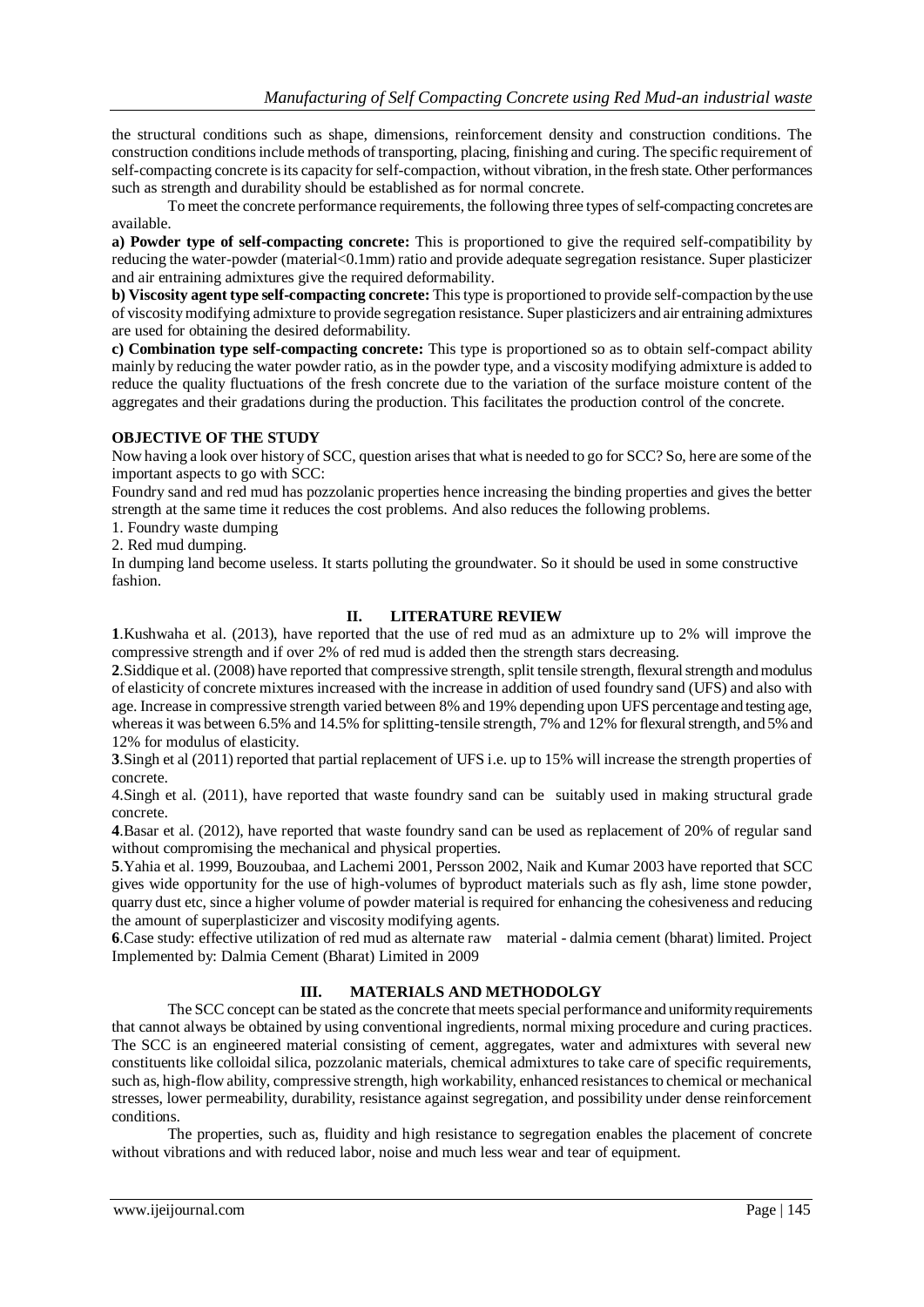the structural conditions such as shape, dimensions, reinforcement density and construction conditions. The construction conditions include methods of transporting, placing, finishing and curing. The specific requirement of self-compacting concrete is its capacity for self-compaction, without vibration, in the fresh state. Other performances such as strength and durability should be established as for normal concrete.

To meet the concrete performance requirements, the following three types of self-compacting concretes are available.

**a) Powder type of self-compacting concrete:** This is proportioned to give the required self-compatibility by reducing the water-powder (material<0.1mm) ratio and provide adequate segregation resistance. Super plasticizer and air entraining admixtures give the required deformability.

**b) Viscosity agent type self-compacting concrete:** This type is proportioned to provide self-compaction by the use of viscosity modifying admixture to provide segregation resistance. Super plasticizers and air entraining admixtures are used for obtaining the desired deformability.

**c) Combination type self-compacting concrete:** This type is proportioned so as to obtain self-compact ability mainly by reducing the water powder ratio, as in the powder type, and a viscosity modifying admixture is added to reduce the quality fluctuations of the fresh concrete due to the variation of the surface moisture content of the aggregates and their gradations during the production. This facilitates the production control of the concrete.

# **OBJECTIVE OF THE STUDY**

Now having a look over history of SCC, question arises that what is needed to go for SCC? So, here are some of the important aspects to go with SCC:

Foundry sand and red mud has pozzolanic properties hence increasing the binding properties and gives the better strength at the same time it reduces the cost problems. And also reduces the following problems.

1. Foundry waste dumping

2. Red mud dumping.

In dumping land become useless. It starts polluting the groundwater. So it should be used in some constructive fashion.

# **II. LITERATURE REVIEW**

**1**.Kushwaha et al. (2013), have reported that the use of red mud as an admixture up to 2% will improve the compressive strength and if over 2% of red mud is added then the strength stars decreasing.

**2**.Siddique et al. (2008) have reported that compressive strength, split tensile strength, flexural strength and modulus of elasticity of concrete mixtures increased with the increase in addition of used foundry sand (UFS) and also with age. Increase in compressive strength varied between 8% and 19% depending upon UFS percentage and testing age, whereas it was between 6.5% and 14.5% for splitting-tensile strength, 7% and 12% for flexural strength, and 5% and 12% for modulus of elasticity.

**3**.Singh et al (2011) reported that partial replacement of UFS i.e. up to 15% will increase the strength properties of concrete.

4.Singh et al. (2011), have reported that waste foundry sand can be suitably used in making structural grade concrete.

**4**.Basar et al. (2012), have reported that waste foundry sand can be used as replacement of 20% of regular sand without compromising the mechanical and physical properties.

**5**.Yahia et al. 1999, Bouzoubaa, and Lachemi 2001, Persson 2002, Naik and Kumar 2003 have reported that SCC gives wide opportunity for the use of high-volumes of byproduct materials such as fly ash, lime stone powder, quarry dust etc, since a higher volume of powder material is required for enhancing the cohesiveness and reducing the amount of superplasticizer and viscosity modifying agents.

**6**.Case study: effective utilization of red mud as alternate raw material - dalmia cement (bharat) limited. Project Implemented by: Dalmia Cement (Bharat) Limited in 2009

# **III. MATERIALS AND METHODOLGY**

The SCC concept can be stated as the concrete that meets special performance and uniformity requirements that cannot always be obtained by using conventional ingredients, normal mixing procedure and curing practices. The SCC is an engineered material consisting of cement, aggregates, water and admixtures with several new constituents like colloidal silica, pozzolanic materials, chemical admixtures to take care of specific requirements, such as, high-flow ability, compressive strength, high workability, enhanced resistances to chemical or mechanical stresses, lower permeability, durability, resistance against segregation, and possibility under dense reinforcement conditions.

The properties, such as, fluidity and high resistance to segregation enables the placement of concrete without vibrations and with reduced labor, noise and much less wear and tear of equipment.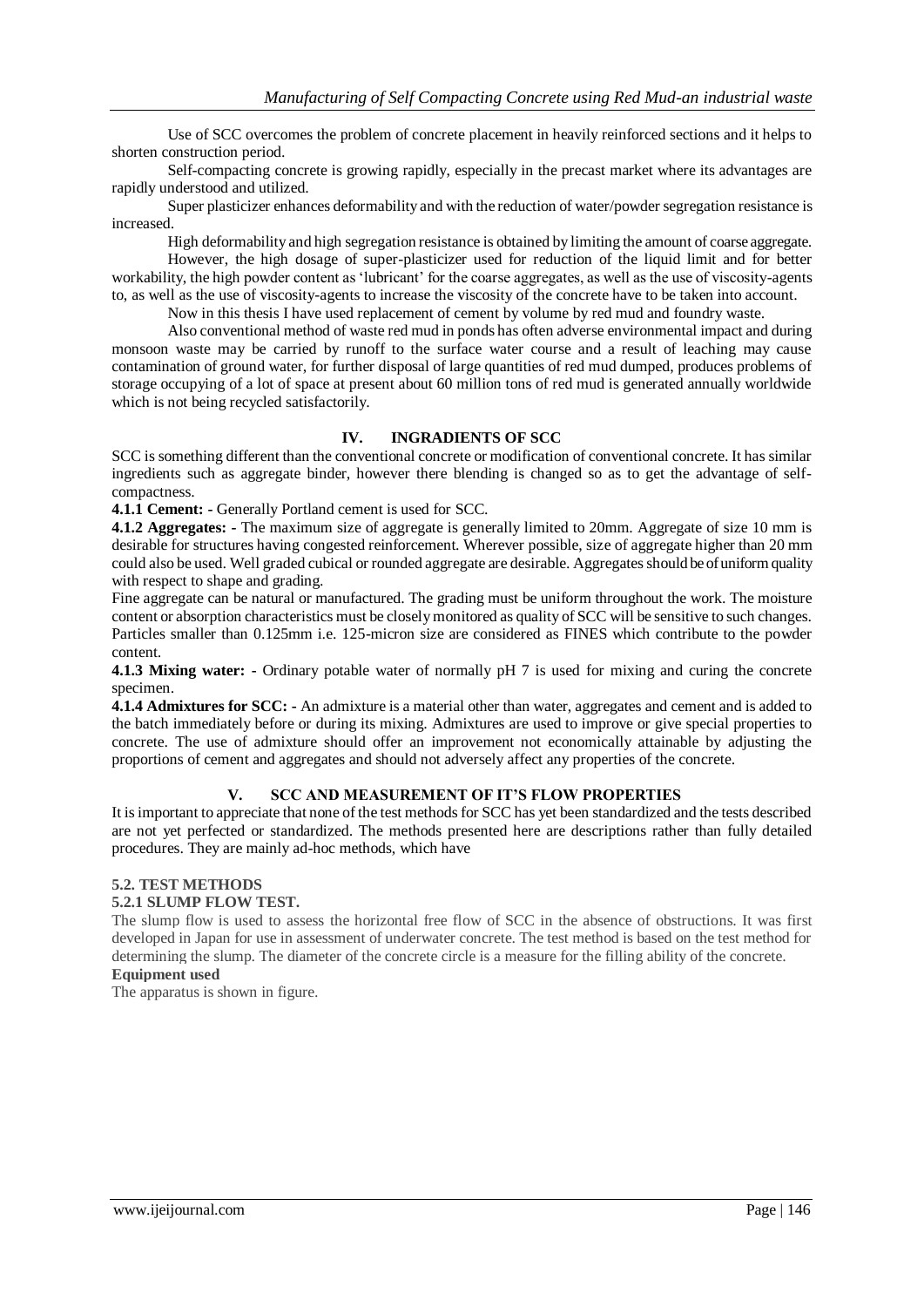Use of SCC overcomes the problem of concrete placement in heavily reinforced sections and it helps to shorten construction period.

Self-compacting concrete is growing rapidly, especially in the precast market where its advantages are rapidly understood and utilized.

Super plasticizer enhances deformability and with the reduction of water/powder segregation resistance is increased.

High deformability and high segregation resistance is obtained by limiting the amount of coarse aggregate. However, the high dosage of super-plasticizer used for reduction of the liquid limit and for better workability, the high powder content as 'lubricant' for the coarse aggregates, as well as the use of viscosity-agents

to, as well as the use of viscosity-agents to increase the viscosity of the concrete have to be taken into account.

Now in this thesis I have used replacement of cement by volume by red mud and foundry waste.

Also conventional method of waste red mud in ponds has often adverse environmental impact and during monsoon waste may be carried by runoff to the surface water course and a result of leaching may cause contamination of ground water, for further disposal of large quantities of red mud dumped, produces problems of storage occupying of a lot of space at present about 60 million tons of red mud is generated annually worldwide which is not being recycled satisfactorily.

#### **IV. INGRADIENTS OF SCC**

SCC is something different than the conventional concrete or modification of conventional concrete. It has similar ingredients such as aggregate binder, however there blending is changed so as to get the advantage of selfcompactness.

**4.1.1 Cement: -** Generally Portland cement is used for SCC.

**4.1.2 Aggregates: -** The maximum size of aggregate is generally limited to 20mm. Aggregate of size 10 mm is desirable for structures having congested reinforcement. Wherever possible, size of aggregate higher than 20 mm could also be used. Well graded cubical or rounded aggregate are desirable. Aggregates should be of uniform quality with respect to shape and grading.

Fine aggregate can be natural or manufactured. The grading must be uniform throughout the work. The moisture content or absorption characteristics must be closely monitored as quality of SCC will be sensitive to such changes. Particles smaller than 0.125mm i.e. 125-micron size are considered as FINES which contribute to the powder content.

**4.1.3 Mixing water:** - Ordinary potable water of normally pH 7 is used for mixing and curing the concrete specimen.

**4.1.4 Admixtures for SCC: -** An admixture is a material other than water, aggregates and cement and is added to the batch immediately before or during its mixing. Admixtures are used to improve or give special properties to concrete. The use of admixture should offer an improvement not economically attainable by adjusting the proportions of cement and aggregates and should not adversely affect any properties of the concrete.

# **V. SCC AND MEASUREMENT OF IT'S FLOW PROPERTIES**

It is important to appreciate that none of the test methods for SCC has yet been standardized and the tests described are not yet perfected or standardized. The methods presented here are descriptions rather than fully detailed procedures. They are mainly ad-hoc methods, which have

#### **5.2. TEST METHODS**

#### **5.2.1 SLUMP FLOW TEST.**

The slump flow is used to assess the horizontal free flow of SCC in the absence of obstructions. It was first developed in Japan for use in assessment of underwater concrete. The test method is based on the test method for determining the slump. The diameter of the concrete circle is a measure for the filling ability of the concrete. **Equipment used**

The apparatus is shown in figure.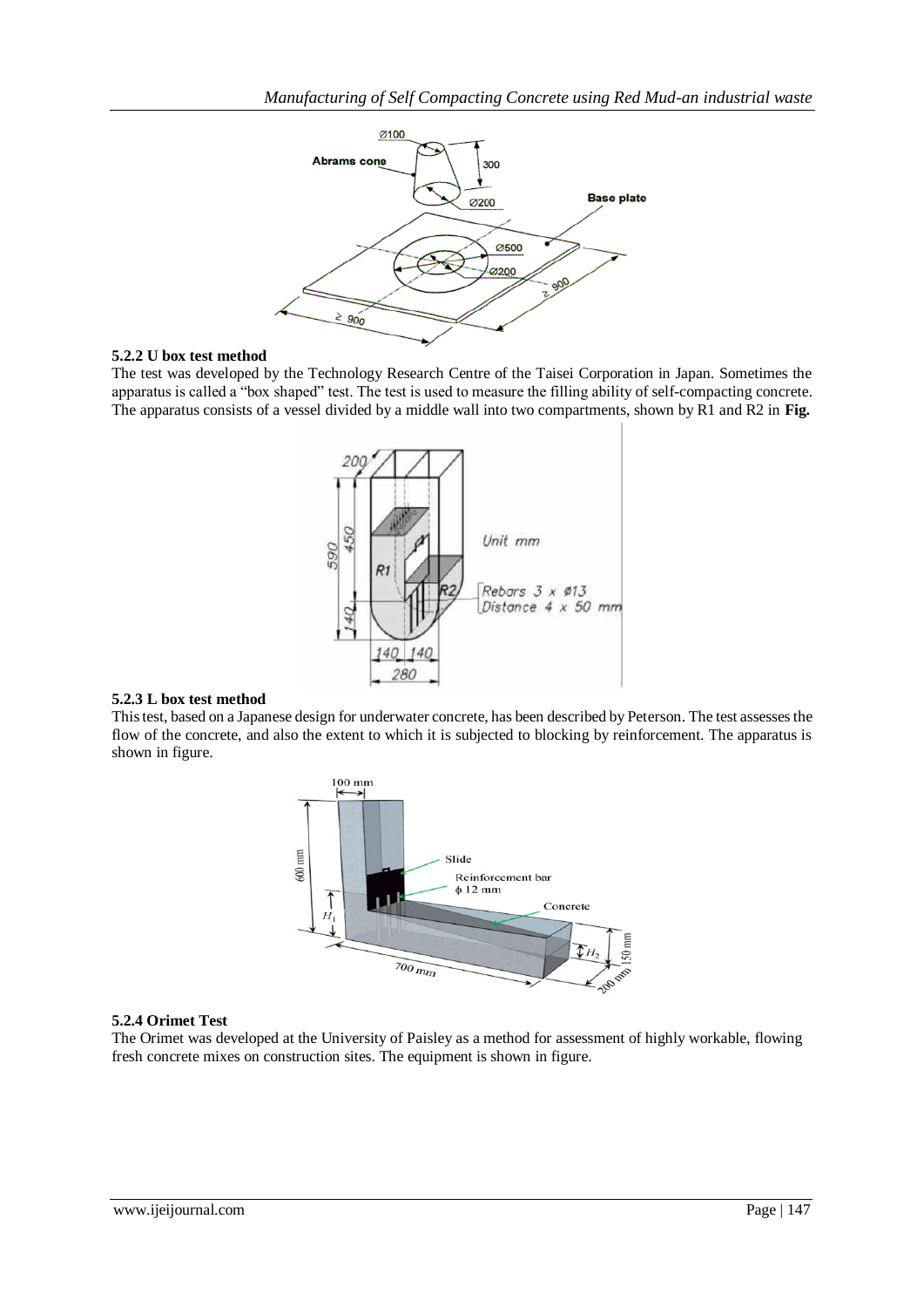

#### **5.2.2 U box test method**

The test was developed by the Technology Research Centre of the Taisei Corporation in Japan. Sometimes the apparatus is called a "box shaped" test. The test is used to measure the filling ability of self-compacting concrete. The apparatus consists of a vessel divided by a middle wall into two compartments, shown by R1 and R2 in **Fig.**



#### **5.2.3 L box test method**

This test, based on a Japanese design for underwater concrete, has been described by Peterson. The test assesses the flow of the concrete, and also the extent to which it is subjected to blocking by reinforcement. The apparatus is shown in figure.



#### **5.2.4 Orimet Test**

The Orimet was developed at the University of Paisley as a method for assessment of highly workable, flowing fresh concrete mixes on construction sites. The equipment is shown in figure.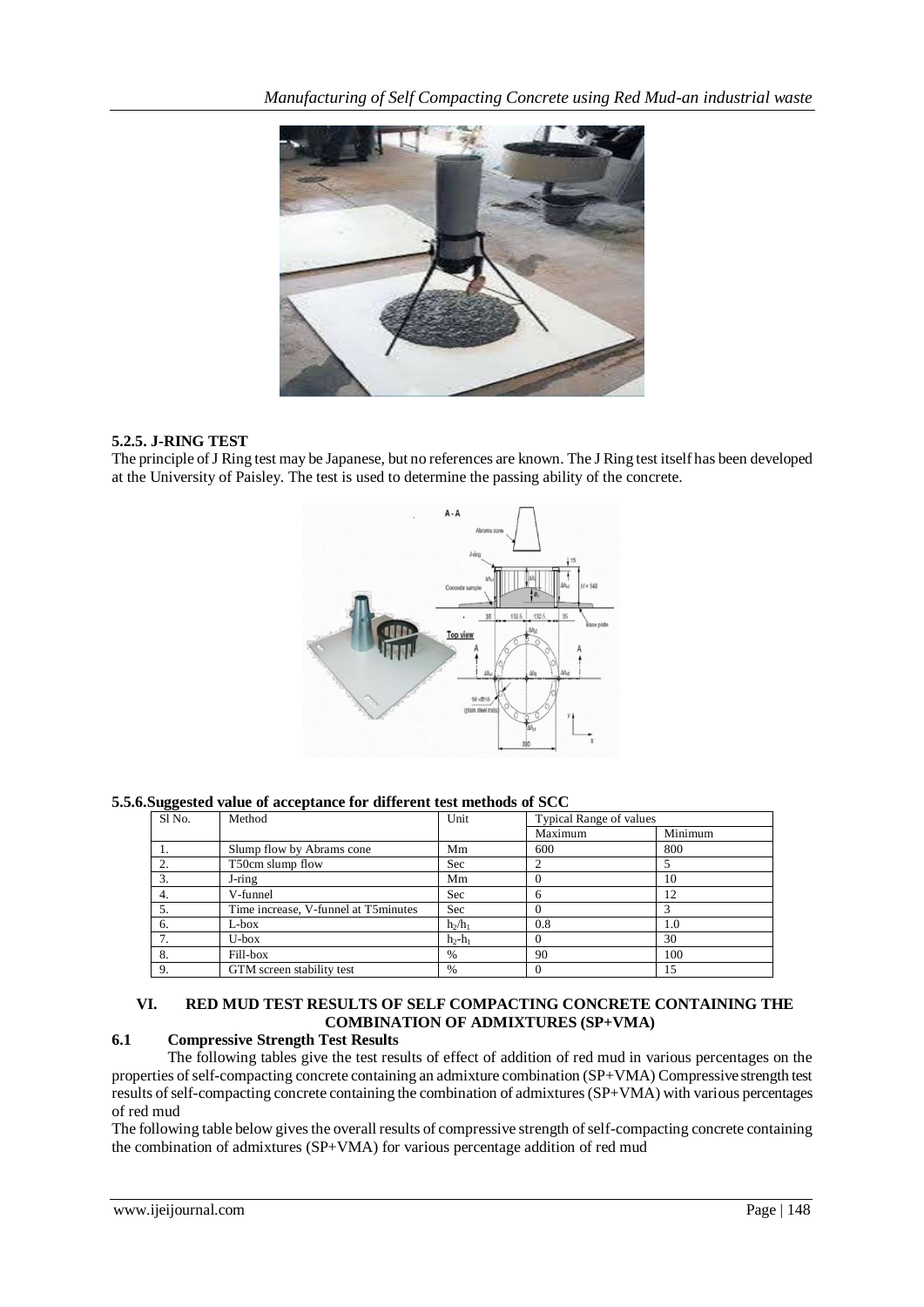

# **5.2.5. J-RING TEST**

The principle of J Ring test may be Japanese, but no references are known. The J Ring test itself has been developed at the University of Paisley. The test is used to determine the passing ability of the concrete.



**5.5.6.Suggested value of acceptance for different test methods of SCC**

| Sl No. | Method                               | Unit      | Typical Range of values |         |
|--------|--------------------------------------|-----------|-------------------------|---------|
|        |                                      |           | Maximum                 | Minimum |
| 1.     | Slump flow by Abrams cone            | Mm        | 600                     | 800     |
| 2.     | T50cm slump flow                     | Sec       |                         |         |
| 3.     | J-ring                               | Mm        |                         | 10      |
| 4.     | V-funnel                             | Sec       | 6                       | 12      |
| 5.     | Time increase, V-funnel at T5minutes | Sec       |                         |         |
| 6.     | $L$ -box                             | $h_2/h_1$ | 0.8                     | 1.0     |
| ┑      | $U-box$                              | $h_2-h_1$ | $\Omega$                | 30      |
| 8.     | Fill-box                             | $\%$      | 90                      | 100     |
| 9.     | GTM screen stability test            | %         |                         | 15      |

# **VI. RED MUD TEST RESULTS OF SELF COMPACTING CONCRETE CONTAINING THE COMBINATION OF ADMIXTURES (SP+VMA)**

# **6.1 Compressive Strength Test Results**

The following tables give the test results of effect of addition of red mud in various percentages on the properties of self-compacting concrete containing an admixture combination (SP+VMA) Compressive strength test results of self-compacting concrete containing the combination of admixtures (SP+VMA) with various percentages of red mud

The following table below gives the overall results of compressive strength of self-compacting concrete containing the combination of admixtures (SP+VMA) for various percentage addition of red mud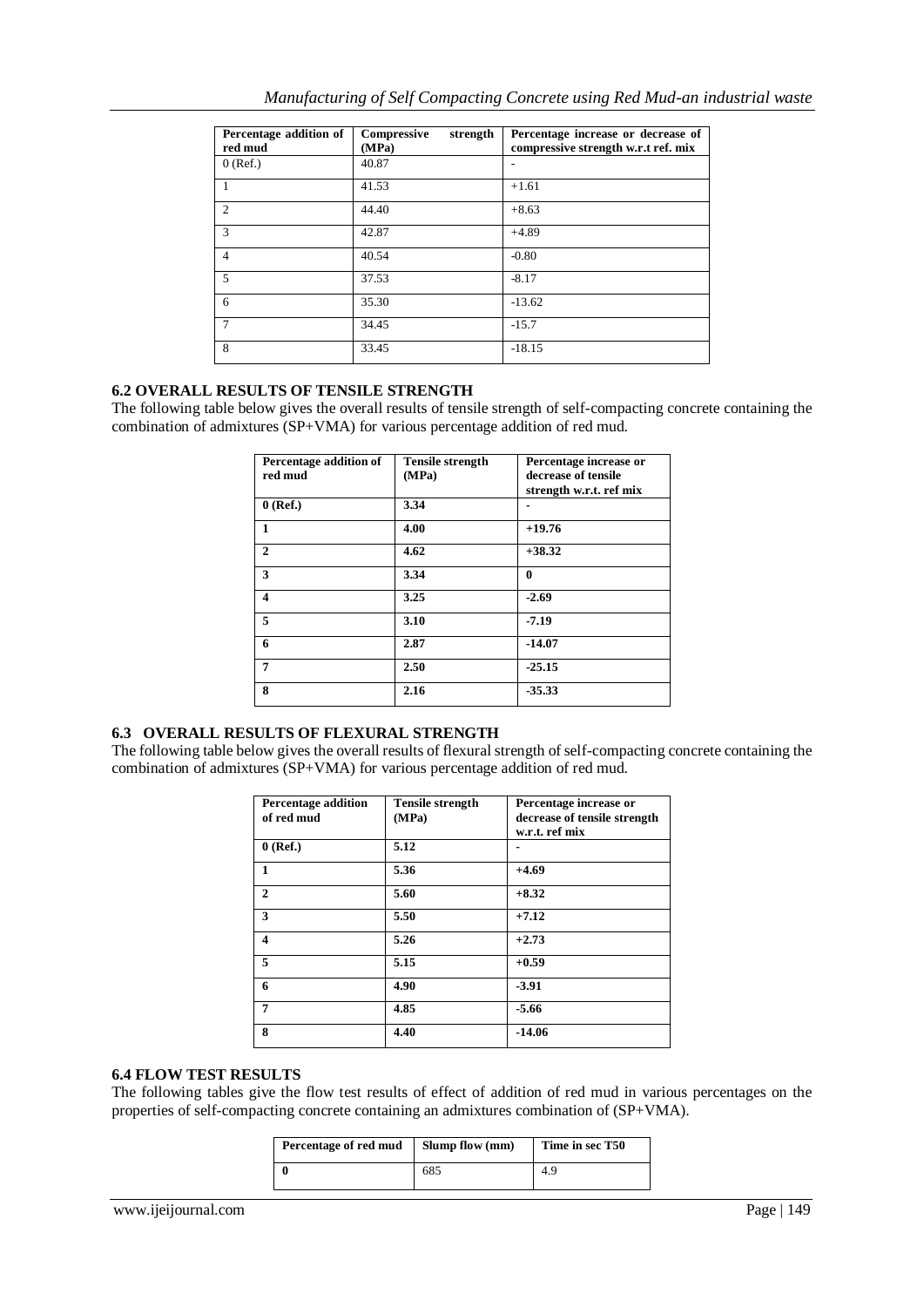| Percentage addition of<br>red mud | Compressive<br>strength<br>(MPa) | Percentage increase or decrease of<br>compressive strength w.r.t ref. mix |
|-----------------------------------|----------------------------------|---------------------------------------------------------------------------|
| $0$ (Ref.)                        | 40.87                            |                                                                           |
|                                   | 41.53                            | $+1.61$                                                                   |
| $\overline{2}$                    | 44.40                            | $+8.63$                                                                   |
| 3                                 | 42.87                            | $+4.89$                                                                   |
| $\overline{4}$                    | 40.54                            | $-0.80$                                                                   |
| 5                                 | 37.53                            | $-8.17$                                                                   |
| 6                                 | 35.30                            | $-13.62$                                                                  |
| 7                                 | 34.45                            | $-15.7$                                                                   |
| 8                                 | 33.45                            | $-18.15$                                                                  |

# **6.2 OVERALL RESULTS OF TENSILE STRENGTH**

The following table below gives the overall results of tensile strength of self-compacting concrete containing the combination of admixtures (SP+VMA) for various percentage addition of red mud.

| Percentage addition of<br>red mud | <b>Tensile strength</b><br>(MPa) | Percentage increase or<br>decrease of tensile |
|-----------------------------------|----------------------------------|-----------------------------------------------|
|                                   |                                  | strength w.r.t. ref mix                       |
| $0$ (Ref.)                        | 3.34                             |                                               |
| 1                                 | 4.00                             | $+19.76$                                      |
| $\mathbf{2}$                      | 4.62                             | $+38.32$                                      |
| 3                                 | 3.34                             | 0                                             |
| $\overline{\mathbf{4}}$           | 3.25                             | $-2.69$                                       |
| 5                                 | 3.10                             | $-7.19$                                       |
| 6                                 | 2.87                             | $-14.07$                                      |
| 7                                 | 2.50                             | $-25.15$                                      |
| 8                                 | 2.16                             | $-35.33$                                      |

# **6.3 OVERALL RESULTS OF FLEXURAL STRENGTH**

The following table below gives the overall results of flexural strength of self-compacting concrete containing the combination of admixtures (SP+VMA) for various percentage addition of red mud.

| <b>Percentage addition</b><br>of red mud | <b>Tensile strength</b><br>(MPa) | Percentage increase or<br>decrease of tensile strength<br>w.r.t. ref mix |
|------------------------------------------|----------------------------------|--------------------------------------------------------------------------|
| $0$ (Ref.)                               | 5.12                             |                                                                          |
| 1                                        | 5.36                             | $+4.69$                                                                  |
| $\mathbf{2}$                             | 5.60                             | $+8.32$                                                                  |
| 3                                        | 5.50                             | $+7.12$                                                                  |
| $\overline{\mathbf{4}}$                  | 5.26                             | $+2.73$                                                                  |
| 5                                        | 5.15                             | $+0.59$                                                                  |
| 6                                        | 4.90                             | $-3.91$                                                                  |
| 7                                        | 4.85                             | $-5.66$                                                                  |
| 8                                        | 4.40                             | $-14.06$                                                                 |

# **6.4 FLOW TEST RESULTS**

The following tables give the flow test results of effect of addition of red mud in various percentages on the properties of self-compacting concrete containing an admixtures combination of (SP+VMA).

| Percentage of red mud | Slump flow (mm) | Time in sec T50 |
|-----------------------|-----------------|-----------------|
|                       | 685             | 4.9             |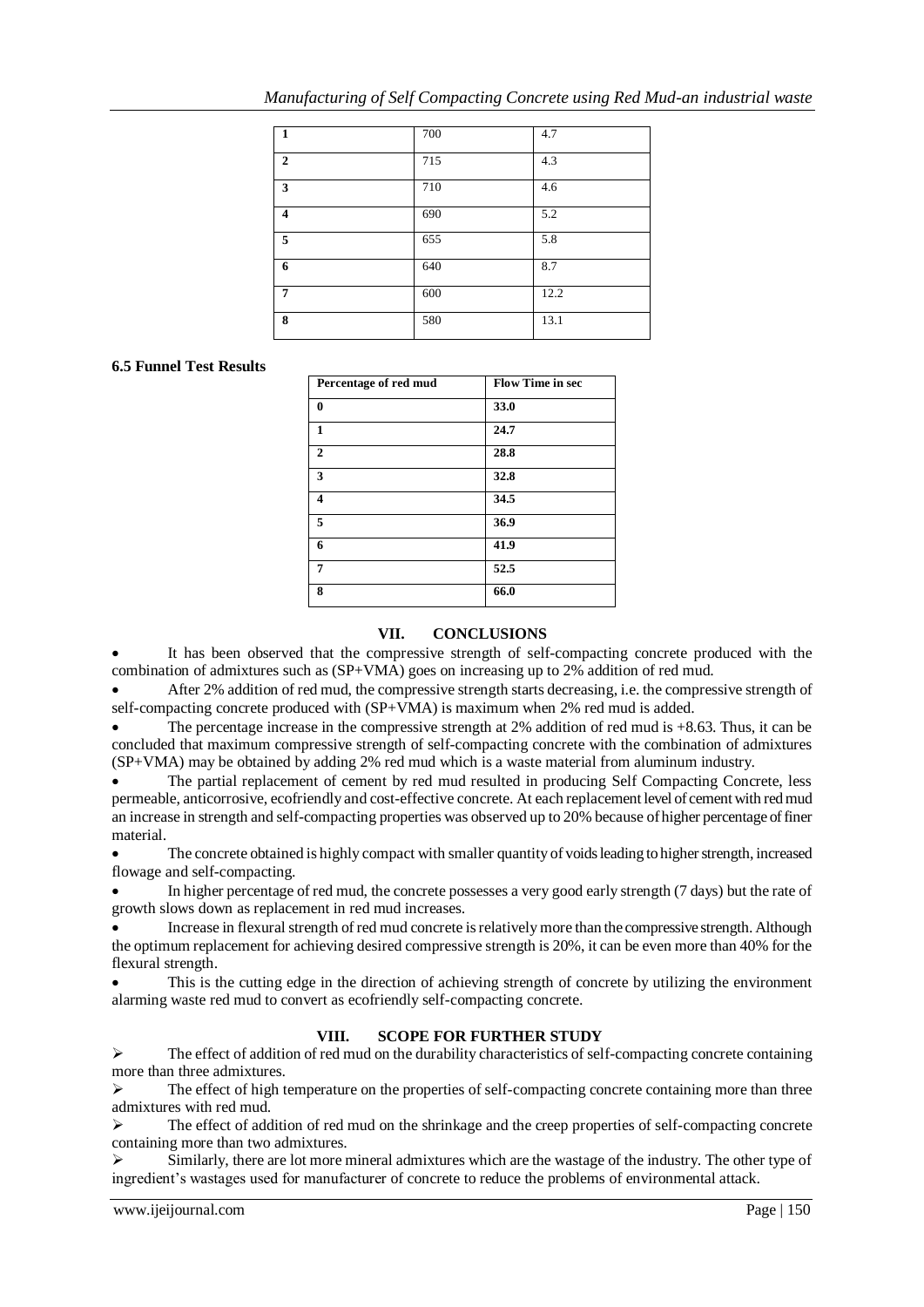| 1                       | 700 | 4.7  |
|-------------------------|-----|------|
| $\mathbf{2}$            | 715 | 4.3  |
| 3                       | 710 | 4.6  |
| $\overline{\mathbf{4}}$ | 690 | 5.2  |
| 5                       | 655 | 5.8  |
| 6                       | 640 | 8.7  |
| 7                       | 600 | 12.2 |
| 8                       | 580 | 13.1 |

# **6.5 Funnel Test Results**

| Percentage of red mud | <b>Flow Time in sec</b> |
|-----------------------|-------------------------|
| $\bf{0}$              | 33.0                    |
| 1                     | 24.7                    |
| $\overline{2}$        | 28.8                    |
| 3                     | 32.8                    |
| 4                     | 34.5                    |
| 5                     | 36.9                    |
| 6                     | 41.9                    |
| 7                     | 52.5                    |
| 8                     | 66.0                    |

# **VII. CONCLUSIONS**

 It has been observed that the compressive strength of self-compacting concrete produced with the combination of admixtures such as (SP+VMA) goes on increasing up to 2% addition of red mud.

 After 2% addition of red mud, the compressive strength starts decreasing, i.e. the compressive strength of self-compacting concrete produced with (SP+VMA) is maximum when 2% red mud is added.

 The percentage increase in the compressive strength at 2% addition of red mud is +8.63. Thus, it can be concluded that maximum compressive strength of self-compacting concrete with the combination of admixtures (SP+VMA) may be obtained by adding 2% red mud which is a waste material from aluminum industry.

 The partial replacement of cement by red mud resulted in producing Self Compacting Concrete, less permeable, anticorrosive, ecofriendly and cost-effective concrete. At each replacement level of cement with red mud an increase in strength and self-compacting properties was observed up to 20% because of higher percentage of finer material.

 The concrete obtained is highly compact with smaller quantity of voids leading to higher strength, increased flowage and self-compacting.

 In higher percentage of red mud, the concrete possesses a very good early strength (7 days) but the rate of growth slows down as replacement in red mud increases.

 Increase in flexural strength of red mud concrete is relatively more than the compressive strength. Although the optimum replacement for achieving desired compressive strength is 20%, it can be even more than 40% for the flexural strength.

 This is the cutting edge in the direction of achieving strength of concrete by utilizing the environment alarming waste red mud to convert as ecofriendly self-compacting concrete.

#### **VIII. SCOPE FOR FURTHER STUDY**

 $\triangleright$  The effect of addition of red mud on the durability characteristics of self-compacting concrete containing more than three admixtures.

 The effect of high temperature on the properties of self-compacting concrete containing more than three admixtures with red mud.

 $\triangleright$  The effect of addition of red mud on the shrinkage and the creep properties of self-compacting concrete containing more than two admixtures.

 $\triangleright$  Similarly, there are lot more mineral admixtures which are the wastage of the industry. The other type of ingredient's wastages used for manufacturer of concrete to reduce the problems of environmental attack.